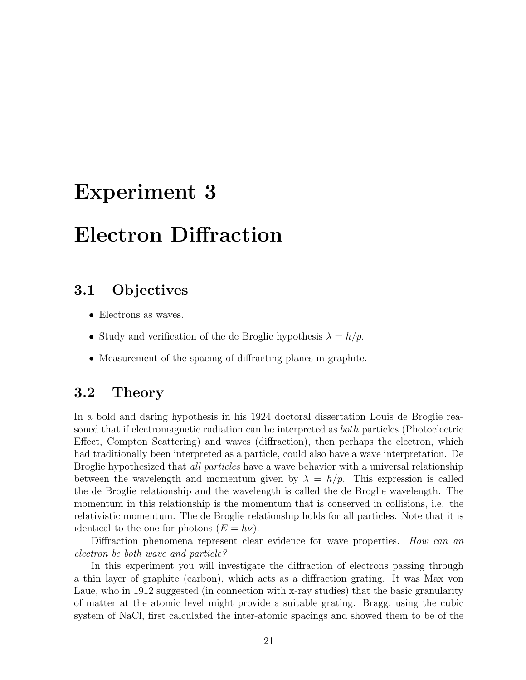# Experiment 3

# Electron Diffraction

#### 3.1 Objectives

- Electrons as waves.
- Study and verification of the de Broglie hypothesis  $\lambda = h/p$ .
- Measurement of the spacing of diffracting planes in graphite.

#### 3.2 Theory

In a bold and daring hypothesis in his 1924 doctoral dissertation Louis de Broglie reasoned that if electromagnetic radiation can be interpreted as both particles (Photoelectric Effect, Compton Scattering) and waves (diffraction), then perhaps the electron, which had traditionally been interpreted as a particle, could also have a wave interpretation. De Broglie hypothesized that *all particles* have a wave behavior with a universal relationship between the wavelength and momentum given by  $\lambda = h/p$ . This expression is called the de Broglie relationship and the wavelength is called the de Broglie wavelength. The momentum in this relationship is the momentum that is conserved in collisions, i.e. the relativistic momentum. The de Broglie relationship holds for all particles. Note that it is identical to the one for photons  $(E = h\nu)$ .

Diffraction phenomena represent clear evidence for wave properties. How can an electron be both wave and particle?

In this experiment you will investigate the diffraction of electrons passing through a thin layer of graphite (carbon), which acts as a diffraction grating. It was Max von Laue, who in 1912 suggested (in connection with x-ray studies) that the basic granularity of matter at the atomic level might provide a suitable grating. Bragg, using the cubic system of NaCl, first calculated the inter-atomic spacings and showed them to be of the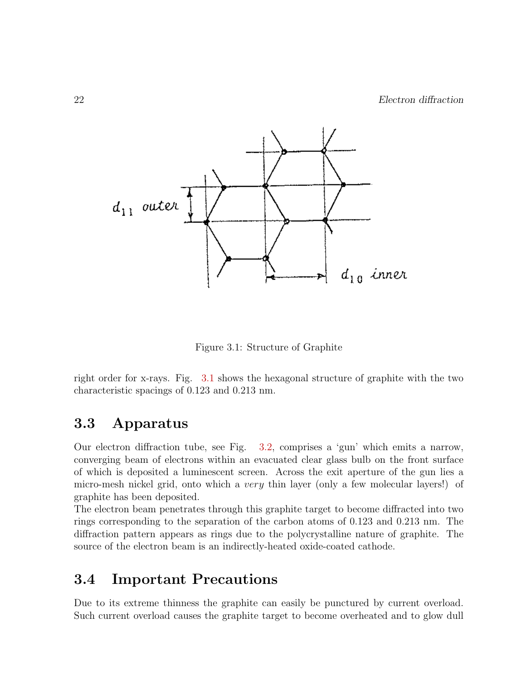

Figure 3.1: Structure of Graphite

right order for x-rays. Fig. 3.1 shows the hexagonal structure of graphite with the two characteristic spacings of 0.123 and 0.213 nm.

#### 3.3 Apparatus

Our electron diffraction tube, see Fig. 3.2, comprises a 'gun' which emits a narrow, converging beam of electrons within an evacuated clear glass bulb on the front surface of which is deposited a luminescent screen. Across the exit aperture of the gun lies a micro-mesh nickel grid, onto which a very thin layer (only a few molecular layers!) of graphite has been deposited.

The electron beam penetrates through this graphite target to become diffracted into two rings corresponding to the separation of the carbon atoms of 0.123 and 0.213 nm. The diffraction pattern appears as rings due to the polycrystalline nature of graphite. The source of the electron beam is an indirectly-heated oxide-coated cathode.

#### 3.4 Important Precautions

Due to its extreme thinness the graphite can easily be punctured by current overload. Such current overload causes the graphite target to become overheated and to glow dull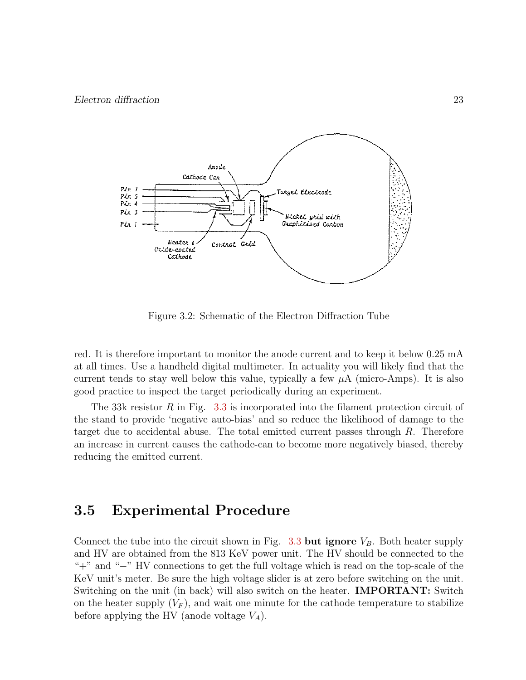

Figure 3.2: Schematic of the Electron Diffraction Tube

red. It is therefore important to monitor the anode current and to keep it below 0.25 mA at all times. Use a handheld digital multimeter. In actuality you will likely find that the current tends to stay well below this value, typically a few  $\mu A$  (micro-Amps). It is also good practice to inspect the target periodically during an experiment.

The 33k resistor R in Fig. 3.3 is incorporated into the filament protection circuit of the stand to provide 'negative auto-bias' and so reduce the likelihood of damage to the target due to accidental abuse. The total emitted current passes through  $R$ . Therefore an increase in current causes the cathode-can to become more negatively biased, thereby reducing the emitted current.

#### 3.5 Experimental Procedure

Connect the tube into the circuit shown in Fig. 3.3 but ignore  $V_B$ . Both heater supply and HV are obtained from the 813 KeV power unit. The HV should be connected to the "+" and "−" HV connections to get the full voltage which is read on the top-scale of the KeV unit's meter. Be sure the high voltage slider is at zero before switching on the unit. Switching on the unit (in back) will also switch on the heater. **IMPORTANT:** Switch on the heater supply  $(V_F)$ , and wait one minute for the cathode temperature to stabilize before applying the HV (anode voltage  $V_A$ ).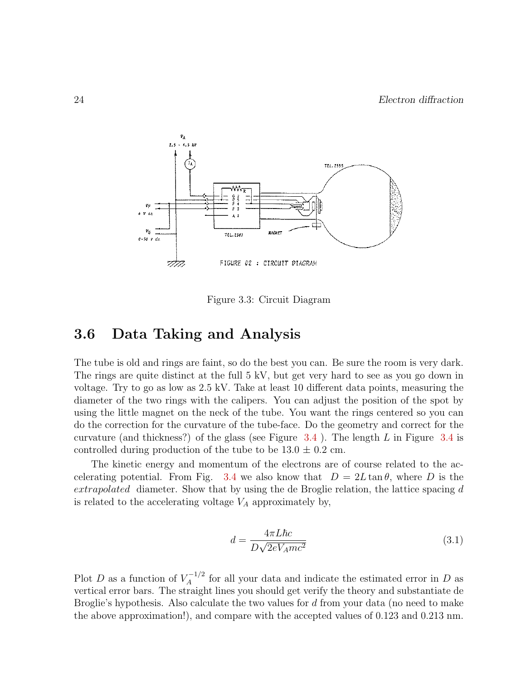

Figure 3.3: Circuit Diagram

### 3.6 Data Taking and Analysis

The tube is old and rings are faint, so do the best you can. Be sure the room is very dark. The rings are quite distinct at the full 5 kV, but get very hard to see as you go down in voltage. Try to go as low as 2.5 kV. Take at least 10 different data points, measuring the diameter of the two rings with the calipers. You can adjust the position of the spot by using the little magnet on the neck of the tube. You want the rings centered so you can do the correction for the curvature of the tube-face. Do the geometry and correct for the curvature (and thickness?) of the glass (see Figure  $3.4$ ). The length L in Figure  $3.4$  is controlled during production of the tube to be  $13.0 \pm 0.2$  cm.

The kinetic energy and momentum of the electrons are of course related to the accelerating potential. From Fig. 3.4 we also know that  $D = 2L \tan \theta$ , where D is the extrapolated diameter. Show that by using the de Broglie relation, the lattice spacing d is related to the accelerating voltage  $V_A$  approximately by,

$$
d = \frac{4\pi L\hbar c}{D\sqrt{2eV_Amc^2}}\tag{3.1}
$$

Plot D as a function of  $V_A^{-1/2}$  $\chi_A^{-1/2}$  for all your data and indicate the estimated error in D as vertical error bars. The straight lines you should get verify the theory and substantiate de Broglie's hypothesis. Also calculate the two values for d from your data (no need to make the above approximation!), and compare with the accepted values of 0.123 and 0.213 nm.